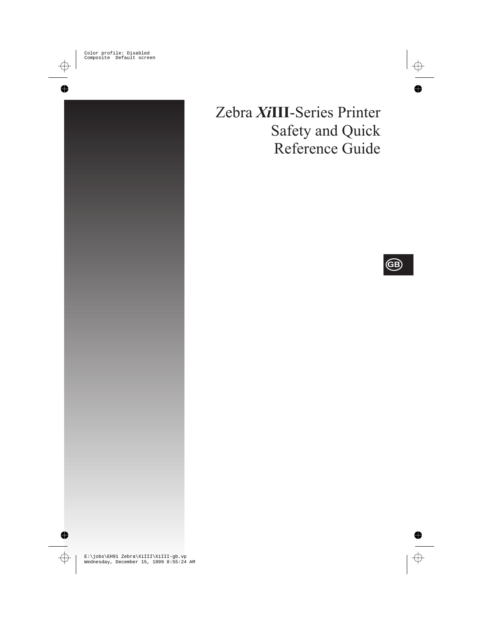# Zebra *Xi***III**-Series Printer Safety and Quick Reference Guide

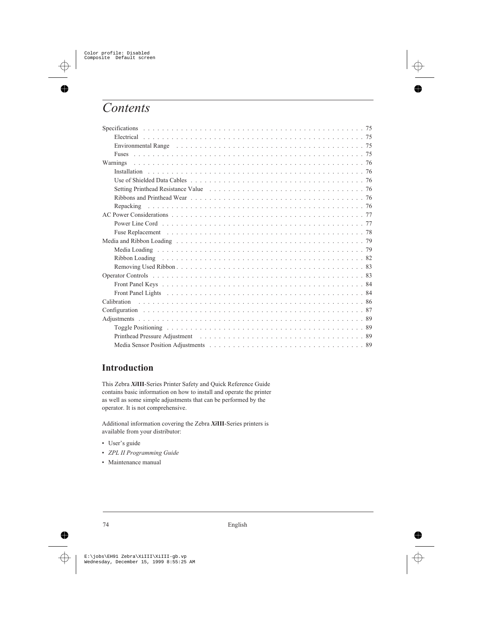## *Contents*

| Environmental Range experience in the contract of the contract of the contract of the contract of the contract of the contract of the contract of the contract of the contract of the contract of the contract of the contract |
|--------------------------------------------------------------------------------------------------------------------------------------------------------------------------------------------------------------------------------|
| Fuses                                                                                                                                                                                                                          |
| Warnings                                                                                                                                                                                                                       |
|                                                                                                                                                                                                                                |
|                                                                                                                                                                                                                                |
|                                                                                                                                                                                                                                |
| Ribbons and Printhead Wear $\ldots$ , $\ldots$ , $\ldots$ , $\ldots$ , $\ldots$ , $\ldots$ , $\ldots$ , $\ldots$ , $\ldots$ , $\ldots$ , $\ldots$ , $\ldots$                                                                   |
| Repacking                                                                                                                                                                                                                      |
|                                                                                                                                                                                                                                |
|                                                                                                                                                                                                                                |
|                                                                                                                                                                                                                                |
|                                                                                                                                                                                                                                |
|                                                                                                                                                                                                                                |
|                                                                                                                                                                                                                                |
|                                                                                                                                                                                                                                |
|                                                                                                                                                                                                                                |
|                                                                                                                                                                                                                                |
|                                                                                                                                                                                                                                |
| Calibration                                                                                                                                                                                                                    |
|                                                                                                                                                                                                                                |
|                                                                                                                                                                                                                                |
| Toggle Positioning responses in the contract of the contract of the contract of the contract of the contract of the contract of the contract of the contract of the contract of the contract of the contract of the contract o |
|                                                                                                                                                                                                                                |
|                                                                                                                                                                                                                                |
|                                                                                                                                                                                                                                |

### **Introduction**

This Zebra *Xi***III**-Series Printer Safety and Quick Reference Guide contains basic information on how to install and operate the printer as well as some simple adjustments that can be performed by the operator. It is not comprehensive.

Additional information covering the Zebra *Xi***III**-Series printers is available from your distributor:

- User's guide
- *ZPL II Programming Guide*
- Maintenance manual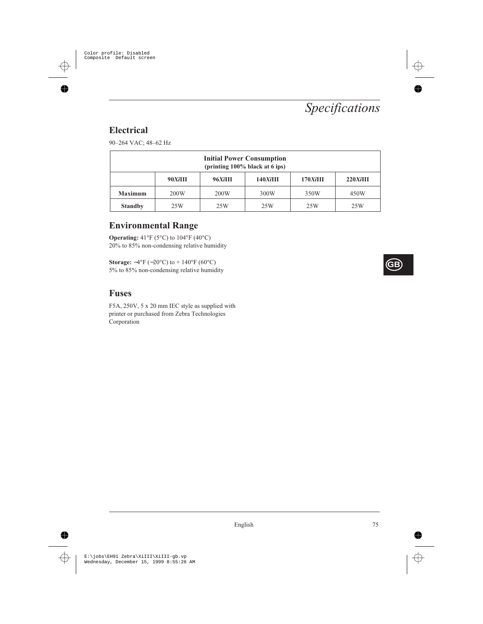

### **Electrical**

90–264 VAC; 48–62 Hz

| <b>Initial Power Consumption</b><br>(printing 100% black at 6 ips) |            |      |          |       |       |
|--------------------------------------------------------------------|------------|------|----------|-------|-------|
|                                                                    | $90Xi$ III | 96Xi | 140XiIII | 170Xi | 220Xi |
| <b>Maximum</b>                                                     | 200W       | 200W | 300W     | 350W  | 450W  |
| <b>Standby</b>                                                     | 25W        | 25W  | 25W      | 25W   | 25W   |

### **Environmental Range**

**Operating:** 41°F (5°C) to 104°F (40°C) 20% to 85% non-condensing relative humidity

**Storage:** −4°F (−20°C) to + 140°F (60°C) 5% to 85% non-condensing relative humidity

### **Fuses**

F5A, 250V, 5 x 20 mm IEC style as supplied with printer or purchased from Zebra Technologies Corporation

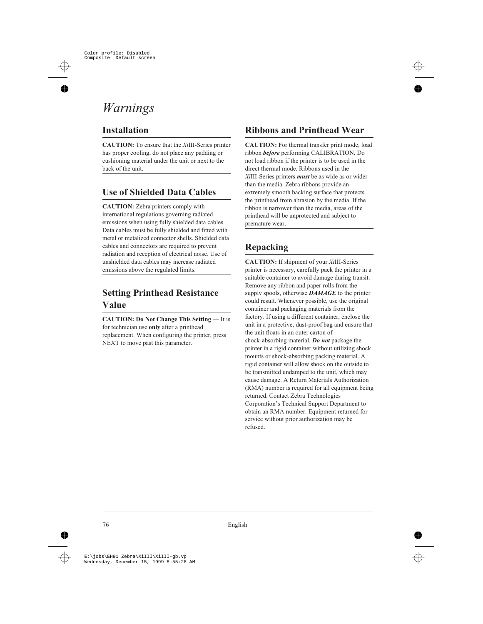# *Warnings*

## **Installation**

**CAUTION:** To ensure that the *Xi*III-Series printer has proper cooling, do not place any padding or cushioning material under the unit or next to the back of the unit.

## **Use of Shielded Data Cables**

**CAUTION:** Zebra printers comply with international regulations governing radiated emissions when using fully shielded data cables. Data cables must be fully shielded and fitted with metal or metalized connector shells. Shielded data cables and connectors are required to prevent radiation and reception of electrical noise. Use of unshielded data cables may increase radiated emissions above the regulated limits.

### **Setting Printhead Resistance Value**

**CAUTION: Do Not Change This Setting** — It is for technician use **only** after a printhead replacement. When configuring the printer, press NEXT to move past this parameter.

### **Ribbons and Printhead Wear**

**CAUTION:** For thermal transfer print mode, load ribbon *before* performing CALIBRATION. Do not load ribbon if the printer is to be used in the direct thermal mode. Ribbons used in the *Xi*III-Series printers *must* be as wide as or wider than the media. Zebra ribbons provide an extremely smooth backing surface that protects the printhead from abrasion by the media. If the ribbon is narrower than the media, areas of the printhead will be unprotected and subject to premature wear.

## **Repacking**

**CAUTION:** If shipment of your *Xi*III-Series printer is necessary, carefully pack the printer in a suitable container to avoid damage during transit. Remove any ribbon and paper rolls from the supply spools, otherwise *DAMAGE* to the printer could result. Whenever possible, use the original container and packaging materials from the factory. If using a different container, enclose the unit in a protective, dust-proof bag and ensure that the unit floats in an outer carton of shock-absorbing material. *Do not* package the printer in a rigid container without utilizing shock mounts or shock-absorbing packing material. A rigid container will allow shock on the outside to be transmitted undamped to the unit, which may cause damage. A Return Materials Authorization (RMA) number is required for all equipment being returned. Contact Zebra Technologies Corporation's Technical Support Department to obtain an RMA number. Equipment returned for service without prior authorization may be refused.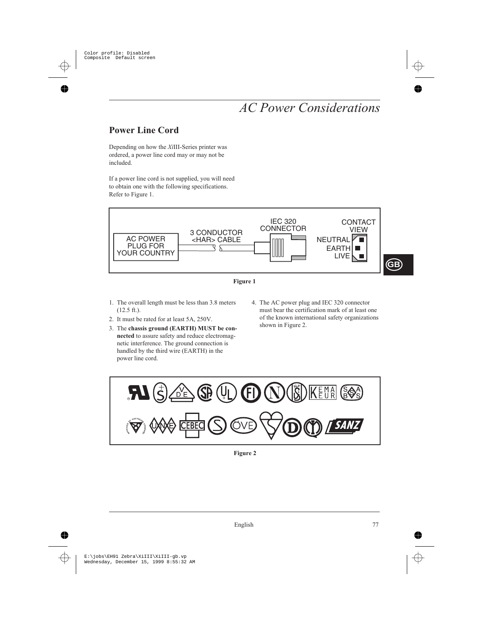# *AC Power Considerations*

## **Power Line Cord**

Depending on how the *Xi*III-Series printer was ordered, a power line cord may or may not be included.

If a power line cord is not supplied, you will need to obtain one with the following specifications. Refer to Figure 1.





- 1. The overall length must be less than 3.8 meters  $(12.5 \text{ ft.})$ .
- 2. It must be rated for at least 5A, 250V.
- 3. The **chassis ground (EARTH) MUST be connected** to assure safety and reduce electromagnetic interference. The ground connection is handled by the third wire (EARTH) in the power line cord.
- 4. The AC power plug and IEC 320 connector must bear the certification mark of at least one of the known international safety organizations shown in Figure 2.



**Figure 2**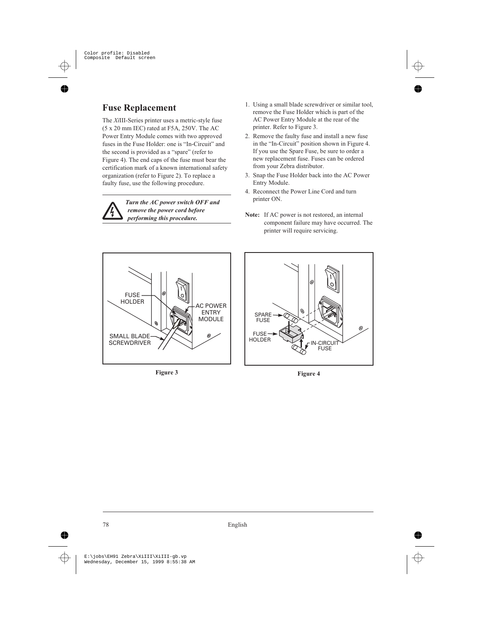## **Fuse Replacement**

The *Xi*III-Series printer uses a metric-style fuse (5 x 20 mm IEC) rated at F5A, 250V. The AC Power Entry Module comes with two approved fuses in the Fuse Holder: one is "In-Circuit" and the second is provided as a "spare" (refer to Figure 4). The end caps of the fuse must bear the certification mark of a known international safety organization (refer to Figure 2). To replace a faulty fuse, use the following procedure.



*Turn the AC power switch OFF and remove the power cord before performing this procedure.*

- 1. Using a small blade screwdriver or similar tool, remove the Fuse Holder which is part of the AC Power Entry Module at the rear of the printer. Refer to Figure 3.
- 2. Remove the faulty fuse and install a new fuse in the "In-Circuit" position shown in Figure 4. If you use the Spare Fuse, be sure to order a new replacement fuse. Fuses can be ordered from your Zebra distributor.
- 3. Snap the Fuse Holder back into the AC Power Entry Module.
- 4. Reconnect the Power Line Cord and turn printer ON.
- **Note:** If AC power is not restored, an internal component failure may have occurred. The printer will require servicing.



**Figure 3**



**Figure 4**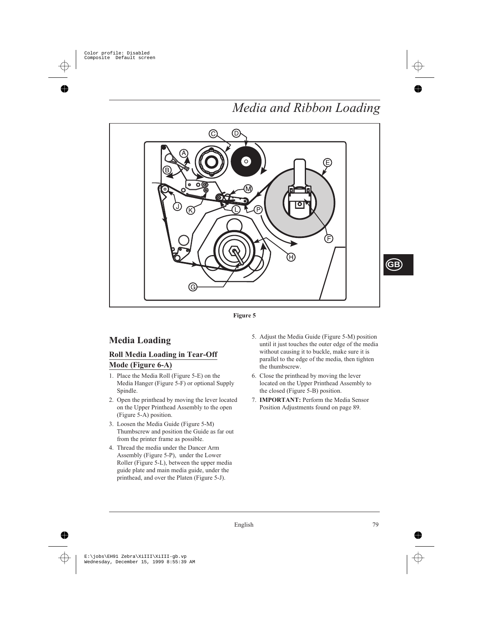## *Media and Ribbon Loading*





### **Media Loading**

### **Roll Media Loading in Tear-Off Mode (Figure 6-A)**

- 1. Place the Media Roll (Figure 5-E) on the Media Hanger (Figure 5-F) or optional Supply Spindle.
- 2. Open the printhead by moving the lever located on the Upper Printhead Assembly to the open (Figure 5-A) position.
- 3. Loosen the Media Guide (Figure 5-M) Thumbscrew and position the Guide as far out from the printer frame as possible.
- 4. Thread the media under the Dancer Arm Assembly (Figure 5-P), under the Lower Roller (Figure 5-L), between the upper media guide plate and main media guide, under the printhead, and over the Platen (Figure 5-J).
- 5. Adjust the Media Guide (Figure 5-M) position until it just touches the outer edge of the media without causing it to buckle, make sure it is parallel to the edge of the media, then tighten the thumbscrew.
- 6. Close the printhead by moving the lever located on the Upper Printhead Assembly to the closed (Figure 5-B) position.
- 7. **IMPORTANT:** Perform the Media Sensor Position Adjustments found on page 89.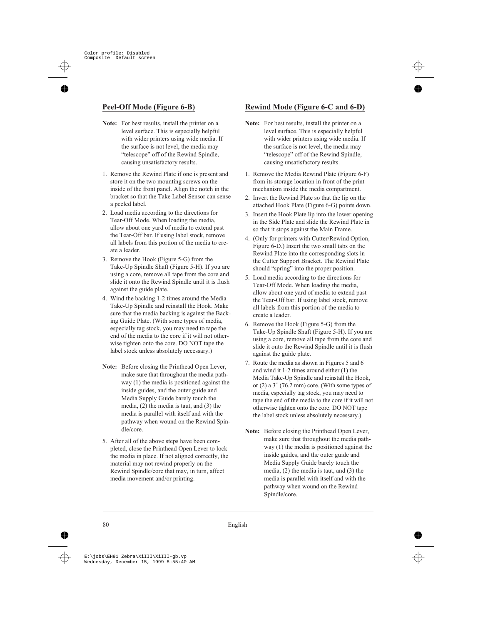### **Peel-Off Mode (Figure 6-B)**

- **Note:** For best results, install the printer on a level surface. This is especially helpful with wider printers using wide media. If the surface is not level, the media may "telescope" off of the Rewind Spindle, causing unsatisfactory results.
- 1. Remove the Rewind Plate if one is present and store it on the two mounting screws on the inside of the front panel. Align the notch in the bracket so that the Take Label Sensor can sense a peeled label.
- 2. Load media according to the directions for Tear-Off Mode. When loading the media, allow about one yard of media to extend past the Tear-Off bar. If using label stock, remove all labels from this portion of the media to create a leader.
- 3. Remove the Hook (Figure 5-G) from the Take-Up Spindle Shaft (Figure 5-H). If you are using a core, remove all tape from the core and slide it onto the Rewind Spindle until it is flush against the guide plate.
- 4. Wind the backing 1-2 times around the Media Take-Up Spindle and reinstall the Hook. Make sure that the media backing is against the Backing Guide Plate. (With some types of media, especially tag stock, you may need to tape the end of the media to the core if it will not otherwise tighten onto the core. DO NOT tape the label stock unless absolutely necessary.)
- **Note:** Before closing the Printhead Open Lever, make sure that throughout the media pathway (1) the media is positioned against the inside guides, and the outer guide and Media Supply Guide barely touch the media, (2) the media is taut, and (3) the media is parallel with itself and with the pathway when wound on the Rewind Spindle/core.
- 5. After all of the above steps have been completed, close the Printhead Open Lever to lock the media in place. If not aligned correctly, the material may not rewind properly on the Rewind Spindle/core that may, in turn, affect media movement and/or printing.

### **Rewind Mode (Figure 6-C and 6-D)**

- **Note:** For best results, install the printer on a level surface. This is especially helpful with wider printers using wide media. If the surface is not level, the media may "telescope" off of the Rewind Spindle, causing unsatisfactory results.
- 1. Remove the Media Rewind Plate (Figure 6-F) from its storage location in front of the print mechanism inside the media compartment.
- 2. Invert the Rewind Plate so that the lip on the attached Hook Plate (Figure 6-G) points down.
- 3. Insert the Hook Plate lip into the lower opening in the Side Plate and slide the Rewind Plate in so that it stops against the Main Frame.
- 4. (Only for printers with Cutter/Rewind Option, Figure 6-D.) Insert the two small tabs on the Rewind Plate into the corresponding slots in the Cutter Support Bracket. The Rewind Plate should "spring" into the proper position.
- 5. Load media according to the directions for Tear-Off Mode. When loading the media, allow about one yard of media to extend past the Tear-Off bar. If using label stock, remove all labels from this portion of the media to create a leader.
- 6. Remove the Hook (Figure 5-G) from the Take-Up Spindle Shaft (Figure 5-H). If you are using a core, remove all tape from the core and slide it onto the Rewind Spindle until it is flush against the guide plate.
- 7. Route the media as shown in Figures 5 and 6 and wind it 1-2 times around either (1) the Media Take-Up Spindle and reinstall the Hook, or  $(2)$  a  $3''$  (76.2 mm) core. (With some types of media, especially tag stock, you may need to tape the end of the media to the core if it will not otherwise tighten onto the core. DO NOT tape the label stock unless absolutely necessary.)
- **Note:** Before closing the Printhead Open Lever, make sure that throughout the media pathway (1) the media is positioned against the inside guides, and the outer guide and Media Supply Guide barely touch the media, (2) the media is taut, and (3) the media is parallel with itself and with the pathway when wound on the Rewind Spindle/core.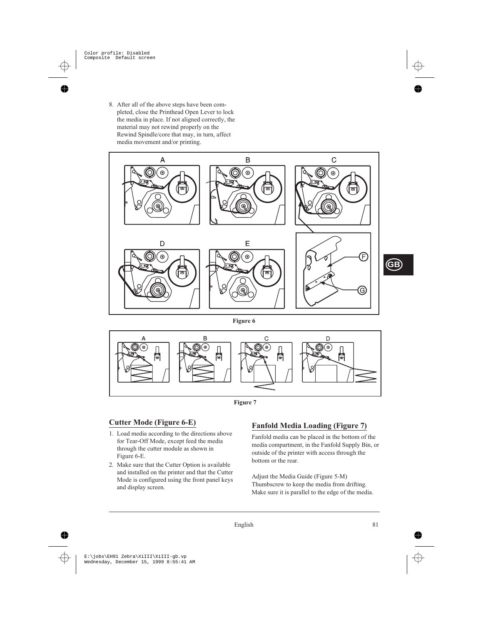8. After all of the above steps have been completed, close the Printhead Open Lever to lock the media in place. If not aligned correctly, the material may not rewind properly on the Rewind Spindle/core that may, in turn, affect media movement and/or printing.



#### **Figure 6**





### **Cutter Mode (Figure 6-E)**

- 1. Load media according to the directions above for Tear-Off Mode, except feed the media through the cutter module as shown in Figure 6-E.
- 2. Make sure that the Cutter Option is available and installed on the printer and that the Cutter Mode is configured using the front panel keys and display screen.

### **Fanfold Media Loading (Figure 7)**

Fanfold media can be placed in the bottom of the media compartment, in the Fanfold Supply Bin, or outside of the printer with access through the bottom or the rear.

Adjust the Media Guide (Figure 5-M) Thumbscrew to keep the media from drifting. Make sure it is parallel to the edge of the media.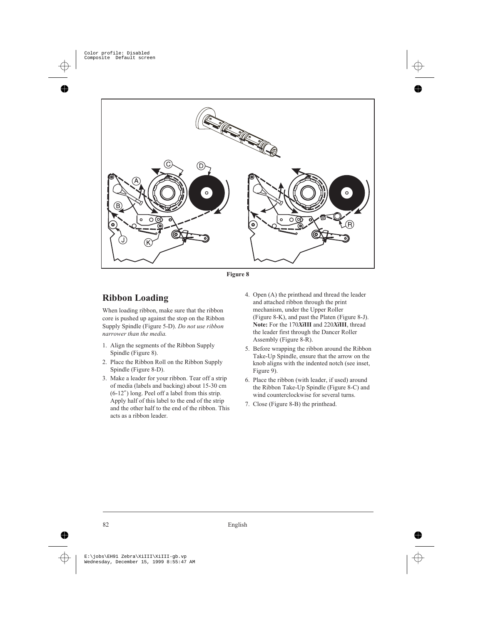

**Figure 8**

### **Ribbon Loading**

When loading ribbon, make sure that the ribbon core is pushed up against the stop on the Ribbon Supply Spindle (Figure 5-D). *Do not use ribbon narrower than the media.*

- 1. Align the segments of the Ribbon Supply Spindle (Figure 8).
- 2. Place the Ribbon Roll on the Ribbon Supply Spindle (Figure 8-D).
- 3. Make a leader for your ribbon. Tear off a strip of media (labels and backing) about 15-30 cm (6-12″) long. Peel off a label from this strip. Apply half of this label to the end of the strip and the other half to the end of the ribbon. This acts as a ribbon leader.
- 4. Open (A) the printhead and thread the leader and attached ribbon through the print mechanism, under the Upper Roller (Figure 8-K), and past the Platen (Figure 8-J). **Note:** For the 170*Xi***III** and 220*Xi***III**, thread the leader first through the Dancer Roller Assembly (Figure 8-R).
- 5. Before wrapping the ribbon around the Ribbon Take-Up Spindle, ensure that the arrow on the knob aligns with the indented notch (see inset, Figure 9).
- 6. Place the ribbon (with leader, if used) around the Ribbon Take-Up Spindle (Figure 8-C) and wind counterclockwise for several turns.
- 7. Close (Figure 8-B) the printhead.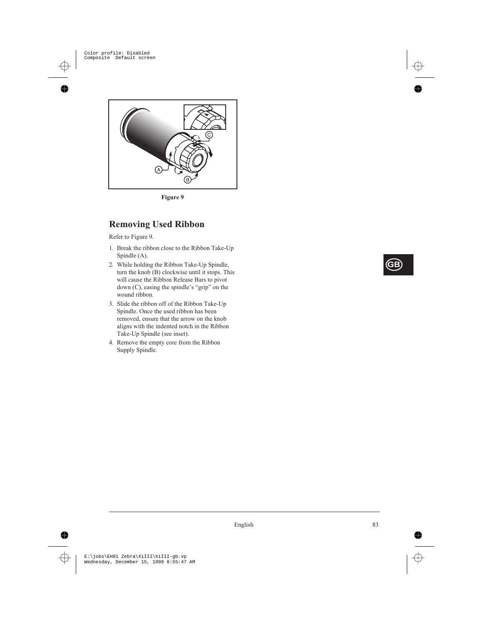

**Figure 9**

### **Removing Used Ribbon**

Refer to Figure 9.

- 1. Break the ribbon close to the Ribbon Take-Up Spindle (A).
- 2. While holding the Ribbon Take-Up Spindle, turn the knob (B) clockwise until it stops. This will cause the Ribbon Release Bars to pivot down (C), easing the spindle's "grip" on the wound ribbon.
- 3. Slide the ribbon off of the Ribbon Take-Up Spindle. Once the used ribbon has been removed, ensure that the arrow on the knob aligns with the indented notch in the Ribbon Take-Up Spindle (see inset).
- 4. Remove the empty core from the Ribbon Supply Spindle.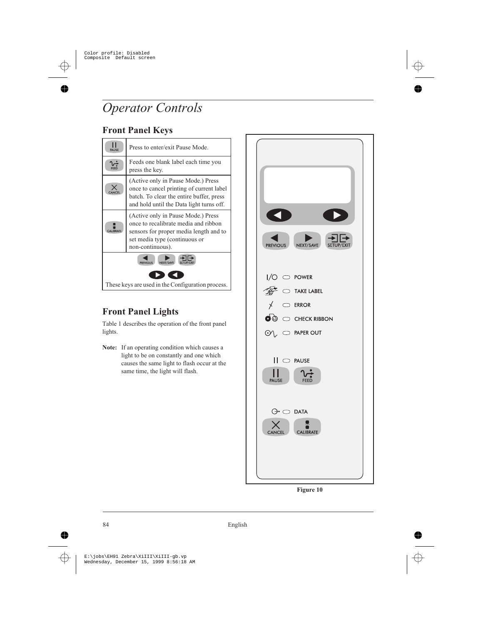# *Operator Controls*

## **Front Panel Keys**

| <b>PALISE</b>                                     | Press to enter/exit Pause Mode.                                                                                                                                           |  |  |
|---------------------------------------------------|---------------------------------------------------------------------------------------------------------------------------------------------------------------------------|--|--|
|                                                   | Feeds one blank label each time you<br>press the key.                                                                                                                     |  |  |
|                                                   | (Active only in Pause Mode.) Press<br>once to cancel printing of current label<br>batch. To clear the entire buffer, press<br>and hold until the Data light turns off.    |  |  |
| CALIBRATE                                         | (Active only in Pause Mode.) Press<br>once to recalibrate media and ribbon<br>sensors for proper media length and to<br>set media type (continuous or<br>non-continuous). |  |  |
| NFYT/SAVE<br><b>PREVIOUS</b>                      |                                                                                                                                                                           |  |  |
| These keys are used in the Configuration process. |                                                                                                                                                                           |  |  |

## **Front Panel Lights**

Table 1 describes the operation of the front panel lights.

**Note:** If an operating condition which causes a light to be on constantly and one which causes the same light to flash occur at the same time, the light will flash.



**Figure 10**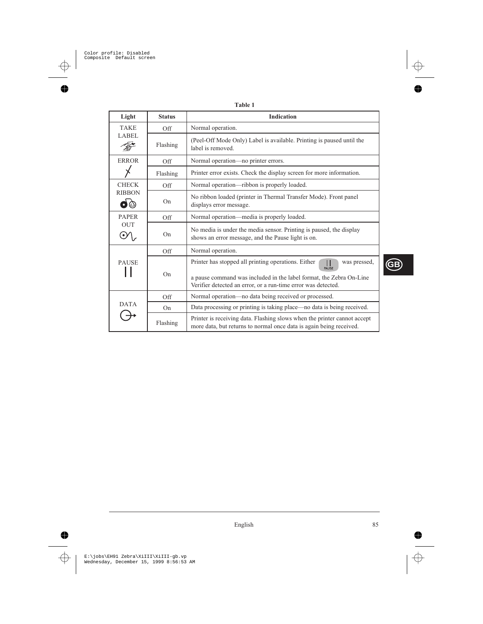| .<br>$\sim$ |  |
|-------------|--|
|-------------|--|

| Light                                | <b>Status</b> | <b>Indication</b>                                                                                                                                                                                                                |  |
|--------------------------------------|---------------|----------------------------------------------------------------------------------------------------------------------------------------------------------------------------------------------------------------------------------|--|
| <b>TAKE</b><br>LABEL<br><b>ERROR</b> | Off           | Normal operation.                                                                                                                                                                                                                |  |
|                                      | Flashing      | (Peel-Off Mode Only) Label is available. Printing is paused until the<br>label is removed.                                                                                                                                       |  |
|                                      | Off           | Normal operation-no printer errors.                                                                                                                                                                                              |  |
|                                      | Flashing      | Printer error exists. Check the display screen for more information.                                                                                                                                                             |  |
| <b>CHECK</b><br><b>RIBBON</b><br>OÒ. | Off           | Normal operation—ribbon is properly loaded.                                                                                                                                                                                      |  |
|                                      | On            | No ribbon loaded (printer in Thermal Transfer Mode). Front panel<br>displays error message.                                                                                                                                      |  |
| <b>PAPER</b><br><b>OUT</b>           | Off           | Normal operation—media is properly loaded.                                                                                                                                                                                       |  |
|                                      | On.           | No media is under the media sensor. Printing is paused, the display<br>shows an error message, and the Pause light is on.                                                                                                        |  |
| <b>PAUSE</b>                         | Off           | Normal operation.                                                                                                                                                                                                                |  |
|                                      | On            | Printer has stopped all printing operations. Either<br>was pressed,<br>Ш<br><b>PAUSE</b><br>a pause command was included in the label format, the Zebra On-Line<br>Verifier detected an error, or a run-time error was detected. |  |
| <b>DATA</b>                          | Off           | Normal operation—no data being received or processed.                                                                                                                                                                            |  |
|                                      | On            | Data processing or printing is taking place—no data is being received.                                                                                                                                                           |  |
|                                      | Flashing      | Printer is receiving data. Flashing slows when the printer cannot accept<br>more data, but returns to normal once data is again being received.                                                                                  |  |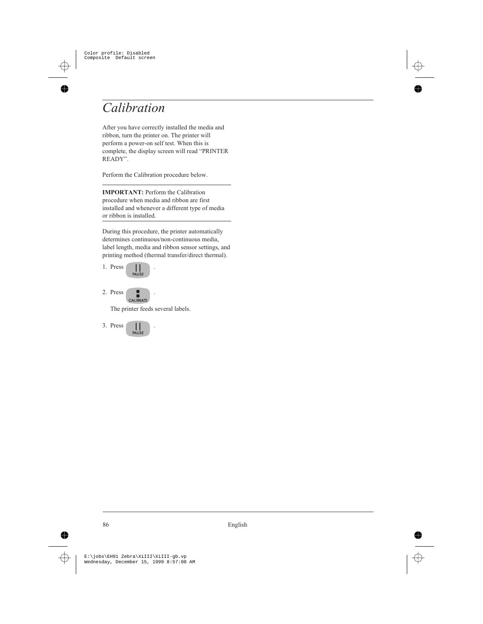# *Calibration*

After you have correctly installed the media and ribbon, turn the printer on. The printer will perform a power-on self test. When this is complete, the display screen will read "PRINTER READY".

Perform the Calibration procedure below.

**IMPORTANT:** Perform the Calibration procedure when media and ribbon are first installed and whenever a different type of media or ribbon is installed.

During this procedure, the printer automatically determines continuous/non-continuous media, label length, media and ribbon sensor settings, and printing method (thermal transfer/direct thermal).

1. Press | |



2. Press CALIBRATE

The printer feeds several labels.

3. Press .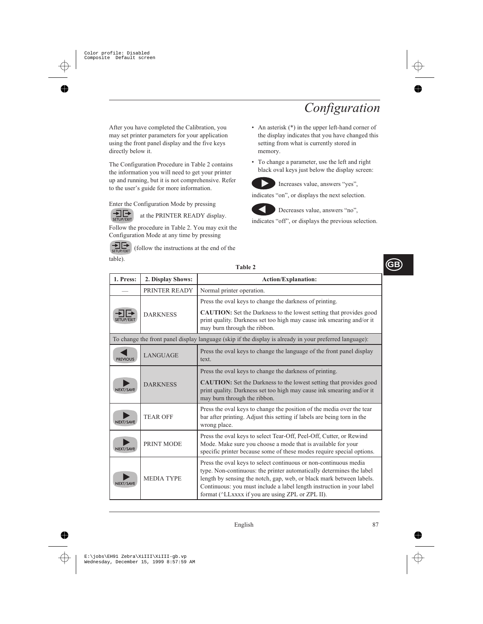# *Configuration*

After you have completed the Calibration, you may set printer parameters for your application using the front panel display and the five keys directly below it.

The Configuration Procedure in Table 2 contains the information you will need to get your printer up and running, but it is not comprehensive. Refer to the user's guide for more information.

Enter the Configuration Mode by pressing

 $\frac{1}{\text{SEUP/EXIT}}$ at the PRINTER READY display.

Follow the procedure in Table 2. You may exit the Configuration Mode at any time by pressing

日<br>serue/exir (follow the instructions at the end of the table).

- An asterisk  $(*)$  in the upper left-hand corner of the display indicates that you have changed this setting from what is currently stored in memory.
- To change a parameter, use the left and right black oval keys just below the display screen:



Increases value, answers "yes",

indicates "on", or displays the next selection.



Decreases value, answers "no",

indicates "off", or displays the previous selection.

| Table 2                                                                                                 |                   |                                                                                                                                                                                                                                                                                                                                                           |  |
|---------------------------------------------------------------------------------------------------------|-------------------|-----------------------------------------------------------------------------------------------------------------------------------------------------------------------------------------------------------------------------------------------------------------------------------------------------------------------------------------------------------|--|
| 1. Press:                                                                                               | 2. Display Shows: | Action/Explanation:                                                                                                                                                                                                                                                                                                                                       |  |
|                                                                                                         | PRINTER READY     | Normal printer operation.                                                                                                                                                                                                                                                                                                                                 |  |
|                                                                                                         | <b>DARKNESS</b>   | Press the oval keys to change the darkness of printing.<br><b>CAUTION:</b> Set the Darkness to the lowest setting that provides good                                                                                                                                                                                                                      |  |
|                                                                                                         |                   | print quality. Darkness set too high may cause ink smearing and/or it<br>may burn through the ribbon.                                                                                                                                                                                                                                                     |  |
| To change the front panel display language (skip if the display is already in your preferred language): |                   |                                                                                                                                                                                                                                                                                                                                                           |  |
| <b>PREVIOUS</b>                                                                                         | <b>LANGUAGE</b>   | Press the oval keys to change the language of the front panel display<br>text.                                                                                                                                                                                                                                                                            |  |
|                                                                                                         |                   | Press the oval keys to change the darkness of printing.                                                                                                                                                                                                                                                                                                   |  |
| NEXT/SAVE                                                                                               | <b>DARKNESS</b>   | <b>CAUTION:</b> Set the Darkness to the lowest setting that provides good<br>print quality. Darkness set too high may cause ink smearing and/or it<br>may burn through the ribbon.                                                                                                                                                                        |  |
| NEXT/SAVE                                                                                               | <b>TEAR OFF</b>   | Press the oval keys to change the position of the media over the tear<br>bar after printing. Adjust this setting if labels are being torn in the<br>wrong place.                                                                                                                                                                                          |  |
| NEXT/SAVE                                                                                               | PRINT MODE        | Press the oval keys to select Tear-Off, Peel-Off, Cutter, or Rewind<br>Mode. Make sure you choose a mode that is available for your<br>specific printer because some of these modes require special options.                                                                                                                                              |  |
| NEXT/SAVE                                                                                               | <b>MEDIA TYPE</b> | Press the oval keys to select continuous or non-continuous media<br>type. Non-continuous: the printer automatically determines the label<br>length by sensing the notch, gap, web, or black mark between labels.<br>Continuous: you must include a label length instruction in your label<br>format ( $\triangle$ LLxxxx if you are using ZPL or ZPL II). |  |

**Table 2**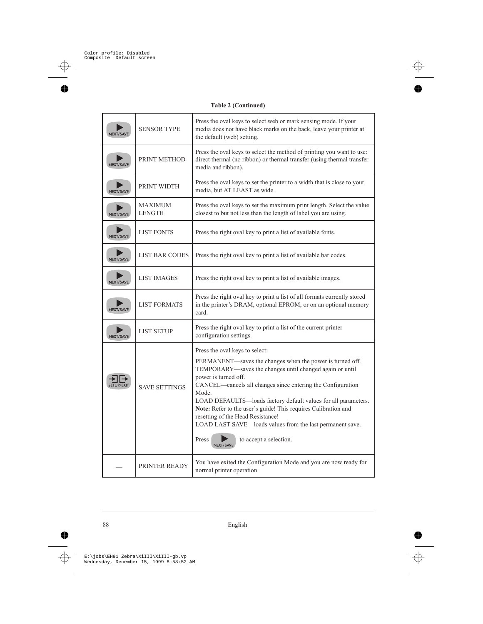| NEXT/SAVE | <b>SENSOR TYPE</b>       | Press the oval keys to select web or mark sensing mode. If your<br>media does not have black marks on the back, leave your printer at<br>the default (web) setting.                                                                                                                                                                                                                                                                                                                                                                           |
|-----------|--------------------------|-----------------------------------------------------------------------------------------------------------------------------------------------------------------------------------------------------------------------------------------------------------------------------------------------------------------------------------------------------------------------------------------------------------------------------------------------------------------------------------------------------------------------------------------------|
| NEXT/SAVE | PRINT METHOD             | Press the oval keys to select the method of printing you want to use:<br>direct thermal (no ribbon) or thermal transfer (using thermal transfer<br>media and ribbon).                                                                                                                                                                                                                                                                                                                                                                         |
| NEXT/SAVE | PRINT WIDTH              | Press the oval keys to set the printer to a width that is close to your<br>media, but AT LEAST as wide.                                                                                                                                                                                                                                                                                                                                                                                                                                       |
| NEXT/SAVE | MAXIMUM<br><b>LENGTH</b> | Press the oval keys to set the maximum print length. Select the value<br>closest to but not less than the length of label you are using.                                                                                                                                                                                                                                                                                                                                                                                                      |
| NEXT/SAVE | <b>LIST FONTS</b>        | Press the right oval key to print a list of available fonts.                                                                                                                                                                                                                                                                                                                                                                                                                                                                                  |
| NEXT/SAVE | <b>LIST BAR CODES</b>    | Press the right oval key to print a list of available bar codes.                                                                                                                                                                                                                                                                                                                                                                                                                                                                              |
| NEXT/SAVE | <b>LIST IMAGES</b>       | Press the right oval key to print a list of available images.                                                                                                                                                                                                                                                                                                                                                                                                                                                                                 |
| NEXT/SAVE | <b>LIST FORMATS</b>      | Press the right oval key to print a list of all formats currently stored<br>in the printer's DRAM, optional EPROM, or on an optional memory<br>card.                                                                                                                                                                                                                                                                                                                                                                                          |
| NEXT/SAVE | <b>LIST SETUP</b>        | Press the right oval key to print a list of the current printer<br>configuration settings.                                                                                                                                                                                                                                                                                                                                                                                                                                                    |
|           | <b>SAVE SETTINGS</b>     | Press the oval keys to select:<br>PERMANENT—saves the changes when the power is turned off.<br>TEMPORARY—saves the changes until changed again or until<br>power is turned off.<br>CANCEL—cancels all changes since entering the Configuration<br>Mode.<br>LOAD DEFAULTS-loads factory default values for all parameters.<br>Note: Refer to the user's guide! This requires Calibration and<br>resetting of the Head Resistance!<br>LOAD LAST SAVE-loads values from the last permanent save.<br>to accept a selection.<br>Press<br>NEXT/SAVE |
|           | PRINTER READY            | You have exited the Configuration Mode and you are now ready for<br>normal printer operation.                                                                                                                                                                                                                                                                                                                                                                                                                                                 |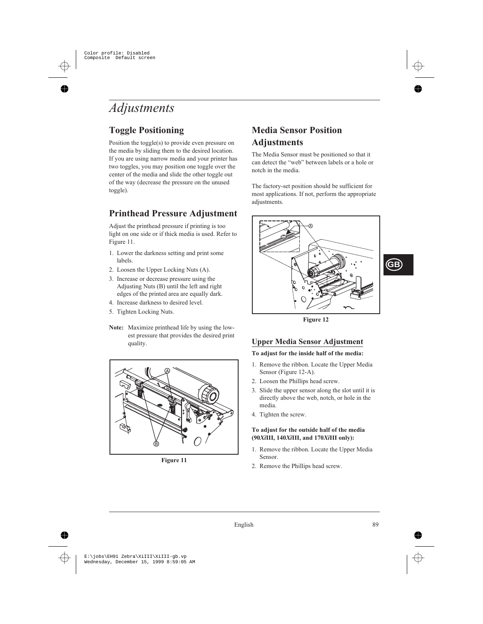# *Adjustments*

## **Toggle Positioning**

Position the toggle(s) to provide even pressure on the media by sliding them to the desired location. If you are using narrow media and your printer has two toggles, you may position one toggle over the center of the media and slide the other toggle out of the way (decrease the pressure on the unused toggle).

## **Printhead Pressure Adjustment**

Adjust the printhead pressure if printing is too light on one side or if thick media is used. Refer to Figure 11.

- 1. Lower the darkness setting and print some labels.
- 2. Loosen the Upper Locking Nuts (A).
- 3. Increase or decrease pressure using the Adjusting Nuts (B) until the left and right edges of the printed area are equally dark.
- 4. Increase darkness to desired level.
- 5. Tighten Locking Nuts.
- **Note:** Maximize printhead life by using the lowest pressure that provides the desired print quality.



**Figure 11**

### **Media Sensor Position Adjustments**

The Media Sensor must be positioned so that it can detect the "web" between labels or a hole or notch in the media.

The factory-set position should be sufficient for most applications. If not, perform the appropriate adjustments.



**Figure 12**

### **Upper Media Sensor Adjustment**

#### **To adjust for the inside half of the media:**

- 1. Remove the ribbon. Locate the Upper Media Sensor (Figure 12-A).
- 2. Loosen the Phillips head screw.
- 3. Slide the upper sensor along the slot until it is directly above the web, notch, or hole in the media.
- 4. Tighten the screw.

#### **To adjust for the outside half of the media (90***Xi***III, 140***Xi***III, and 170***Xi***III only):**

- 1. Remove the ribbon. Locate the Upper Media Sensor.
- 2. Remove the Phillips head screw.